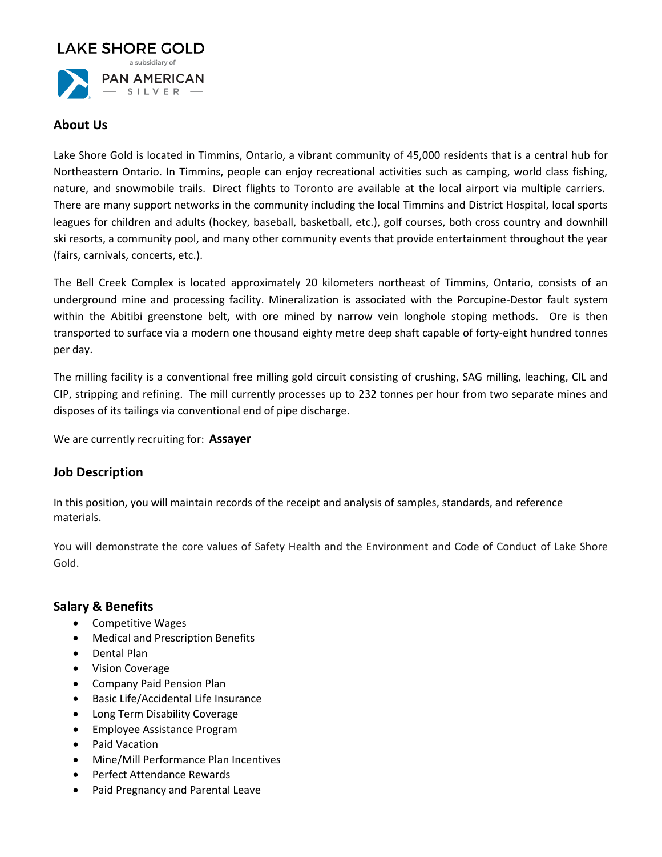

## **About Us**

Lake Shore Gold is located in Timmins, Ontario, a vibrant community of 45,000 residents that is a central hub for Northeastern Ontario. In Timmins, people can enjoy recreational activities such as camping, world class fishing, nature, and snowmobile trails. Direct flights to Toronto are available at the local airport via multiple carriers. There are many support networks in the community including the local Timmins and District Hospital, local sports leagues for children and adults (hockey, baseball, basketball, etc.), golf courses, both cross country and downhill ski resorts, a community pool, and many other community events that provide entertainment throughout the year (fairs, carnivals, concerts, etc.).

The Bell Creek Complex is located approximately 20 kilometers northeast of Timmins, Ontario, consists of an underground mine and processing facility. Mineralization is associated with the Porcupine-Destor fault system within the Abitibi greenstone belt, with ore mined by narrow vein longhole stoping methods. Ore is then transported to surface via a modern one thousand eighty metre deep shaft capable of forty-eight hundred tonnes per day.

The milling facility is a conventional free milling gold circuit consisting of crushing, SAG milling, leaching, CIL and CIP, stripping and refining. The mill currently processes up to 232 tonnes per hour from two separate mines and disposes of its tailings via conventional end of pipe discharge.

We are currently recruiting for: **Assayer**

# **Job Description**

In this position, you will maintain records of the receipt and analysis of samples, standards, and reference materials.

You will demonstrate the core values of Safety Health and the Environment and Code of Conduct of Lake Shore Gold.

#### **Salary & Benefits**

- Competitive Wages
- Medical and Prescription Benefits
- Dental Plan
- Vision Coverage
- Company Paid Pension Plan
- Basic Life/Accidental Life Insurance
- Long Term Disability Coverage
- Employee Assistance Program
- Paid Vacation
- Mine/Mill Performance Plan Incentives
- Perfect Attendance Rewards
- Paid Pregnancy and Parental Leave